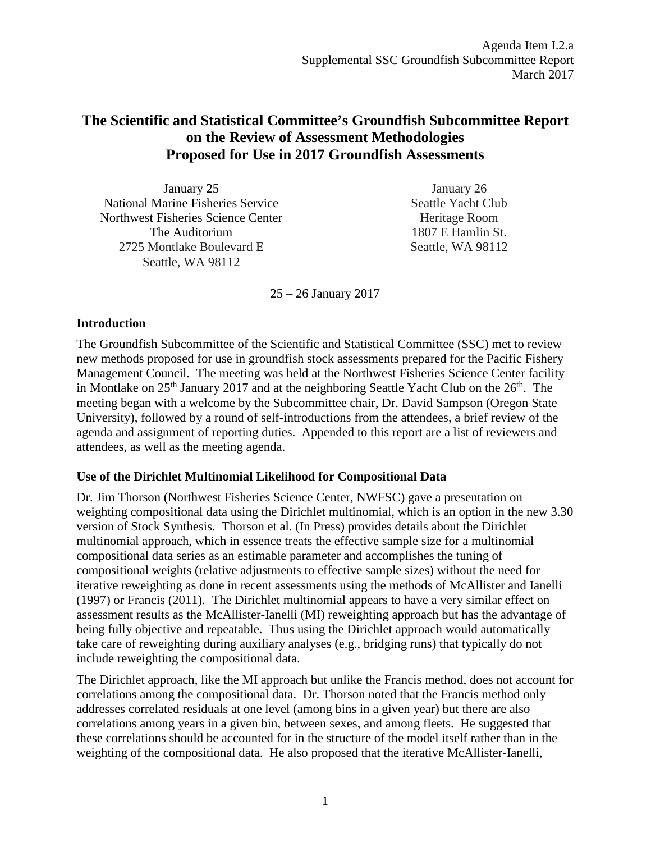# **The Scientific and Statistical Committee's Groundfish Subcommittee Report on the Review of Assessment Methodologies Proposed for Use in 2017 Groundfish Assessments**

| January 25                               | January 26         |
|------------------------------------------|--------------------|
| <b>National Marine Fisheries Service</b> | Seattle Yacht Club |
| Northwest Fisheries Science Center       | Heritage Room      |
| The Auditorium                           | 1807 E Hamlin St.  |
| 2725 Montlake Boulevard E                | Seattle, WA 98112  |
| Seattle, WA 98112                        |                    |

25 – 26 January 2017

# **Introduction**

The Groundfish Subcommittee of the Scientific and Statistical Committee (SSC) met to review new methods proposed for use in groundfish stock assessments prepared for the Pacific Fishery Management Council. The meeting was held at the Northwest Fisheries Science Center facility in Montlake on  $25<sup>th</sup>$  January 2017 and at the neighboring Seattle Yacht Club on the  $26<sup>th</sup>$ . The meeting began with a welcome by the Subcommittee chair, Dr. David Sampson (Oregon State University), followed by a round of self-introductions from the attendees, a brief review of the agenda and assignment of reporting duties. Appended to this report are a list of reviewers and attendees, as well as the meeting agenda.

# **Use of the Dirichlet Multinomial Likelihood for Compositional Data**

Dr. Jim Thorson (Northwest Fisheries Science Center, NWFSC) gave a presentation on weighting compositional data using the Dirichlet multinomial, which is an option in the new 3.30 version of Stock Synthesis. Thorson et al. (In Press) provides details about the Dirichlet multinomial approach, which in essence treats the effective sample size for a multinomial compositional data series as an estimable parameter and accomplishes the tuning of compositional weights (relative adjustments to effective sample sizes) without the need for iterative reweighting as done in recent assessments using the methods of McAllister and Ianelli (1997) or Francis (2011). The Dirichlet multinomial appears to have a very similar effect on assessment results as the McAllister-Ianelli (MI) reweighting approach but has the advantage of being fully objective and repeatable. Thus using the Dirichlet approach would automatically take care of reweighting during auxiliary analyses (e.g., bridging runs) that typically do not include reweighting the compositional data.

The Dirichlet approach, like the MI approach but unlike the Francis method, does not account for correlations among the compositional data. Dr. Thorson noted that the Francis method only addresses correlated residuals at one level (among bins in a given year) but there are also correlations among years in a given bin, between sexes, and among fleets. He suggested that these correlations should be accounted for in the structure of the model itself rather than in the weighting of the compositional data. He also proposed that the iterative McAllister-Ianelli,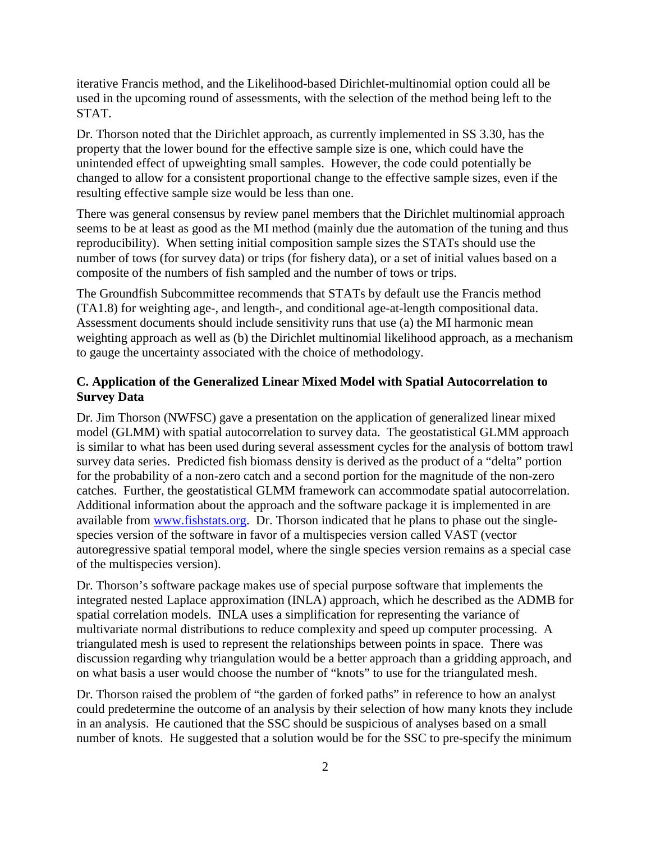iterative Francis method, and the Likelihood-based Dirichlet-multinomial option could all be used in the upcoming round of assessments, with the selection of the method being left to the STAT.

Dr. Thorson noted that the Dirichlet approach, as currently implemented in SS 3.30, has the property that the lower bound for the effective sample size is one, which could have the unintended effect of upweighting small samples. However, the code could potentially be changed to allow for a consistent proportional change to the effective sample sizes, even if the resulting effective sample size would be less than one.

There was general consensus by review panel members that the Dirichlet multinomial approach seems to be at least as good as the MI method (mainly due the automation of the tuning and thus reproducibility). When setting initial composition sample sizes the STATs should use the number of tows (for survey data) or trips (for fishery data), or a set of initial values based on a composite of the numbers of fish sampled and the number of tows or trips.

The Groundfish Subcommittee recommends that STATs by default use the Francis method (TA1.8) for weighting age-, and length-, and conditional age-at-length compositional data. Assessment documents should include sensitivity runs that use (a) the MI harmonic mean weighting approach as well as (b) the Dirichlet multinomial likelihood approach, as a mechanism to gauge the uncertainty associated with the choice of methodology.

# **C. Application of the Generalized Linear Mixed Model with Spatial Autocorrelation to Survey Data**

Dr. Jim Thorson (NWFSC) gave a presentation on the application of generalized linear mixed model (GLMM) with spatial autocorrelation to survey data. The geostatistical GLMM approach is similar to what has been used during several assessment cycles for the analysis of bottom trawl survey data series. Predicted fish biomass density is derived as the product of a "delta" portion for the probability of a non-zero catch and a second portion for the magnitude of the non-zero catches. Further, the geostatistical GLMM framework can accommodate spatial autocorrelation. Additional information about the approach and the software package it is implemented in are available from [www.fishstats.org.](http://www.fishstats.org/) Dr. Thorson indicated that he plans to phase out the singlespecies version of the software in favor of a multispecies version called VAST (vector autoregressive spatial temporal model, where the single species version remains as a special case of the multispecies version).

Dr. Thorson's software package makes use of special purpose software that implements the integrated nested Laplace approximation (INLA) approach, which he described as the ADMB for spatial correlation models. INLA uses a simplification for representing the variance of multivariate normal distributions to reduce complexity and speed up computer processing. A triangulated mesh is used to represent the relationships between points in space. There was discussion regarding why triangulation would be a better approach than a gridding approach, and on what basis a user would choose the number of "knots" to use for the triangulated mesh.

Dr. Thorson raised the problem of "the garden of forked paths" in reference to how an analyst could predetermine the outcome of an analysis by their selection of how many knots they include in an analysis. He cautioned that the SSC should be suspicious of analyses based on a small number of knots. He suggested that a solution would be for the SSC to pre-specify the minimum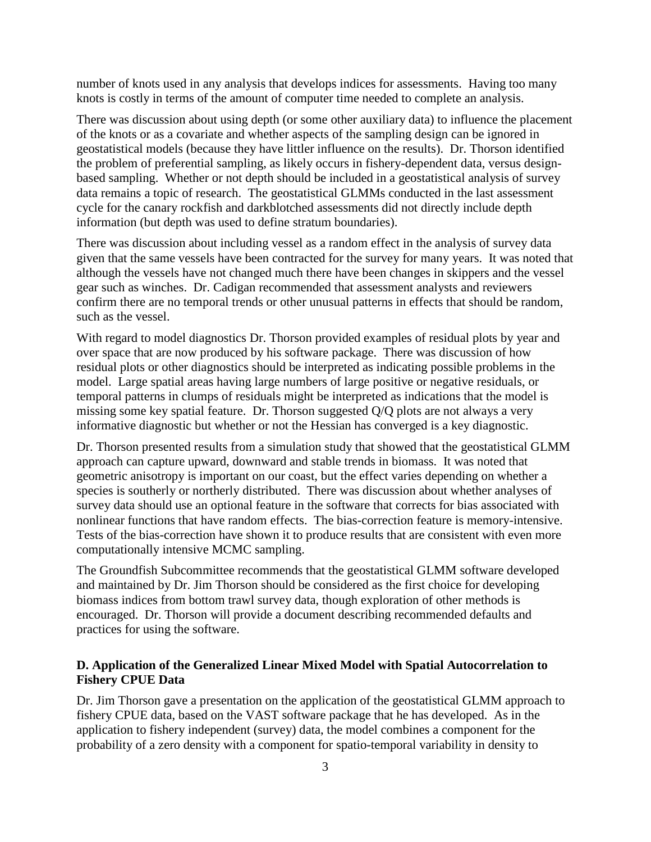number of knots used in any analysis that develops indices for assessments. Having too many knots is costly in terms of the amount of computer time needed to complete an analysis.

There was discussion about using depth (or some other auxiliary data) to influence the placement of the knots or as a covariate and whether aspects of the sampling design can be ignored in geostatistical models (because they have littler influence on the results). Dr. Thorson identified the problem of preferential sampling, as likely occurs in fishery-dependent data, versus designbased sampling. Whether or not depth should be included in a geostatistical analysis of survey data remains a topic of research. The geostatistical GLMMs conducted in the last assessment cycle for the canary rockfish and darkblotched assessments did not directly include depth information (but depth was used to define stratum boundaries).

There was discussion about including vessel as a random effect in the analysis of survey data given that the same vessels have been contracted for the survey for many years. It was noted that although the vessels have not changed much there have been changes in skippers and the vessel gear such as winches. Dr. Cadigan recommended that assessment analysts and reviewers confirm there are no temporal trends or other unusual patterns in effects that should be random, such as the vessel.

With regard to model diagnostics Dr. Thorson provided examples of residual plots by year and over space that are now produced by his software package. There was discussion of how residual plots or other diagnostics should be interpreted as indicating possible problems in the model. Large spatial areas having large numbers of large positive or negative residuals, or temporal patterns in clumps of residuals might be interpreted as indications that the model is missing some key spatial feature. Dr. Thorson suggested Q/Q plots are not always a very informative diagnostic but whether or not the Hessian has converged is a key diagnostic.

Dr. Thorson presented results from a simulation study that showed that the geostatistical GLMM approach can capture upward, downward and stable trends in biomass. It was noted that geometric anisotropy is important on our coast, but the effect varies depending on whether a species is southerly or northerly distributed. There was discussion about whether analyses of survey data should use an optional feature in the software that corrects for bias associated with nonlinear functions that have random effects. The bias-correction feature is memory-intensive. Tests of the bias-correction have shown it to produce results that are consistent with even more computationally intensive MCMC sampling.

The Groundfish Subcommittee recommends that the geostatistical GLMM software developed and maintained by Dr. Jim Thorson should be considered as the first choice for developing biomass indices from bottom trawl survey data, though exploration of other methods is encouraged. Dr. Thorson will provide a document describing recommended defaults and practices for using the software.

### **D. Application of the Generalized Linear Mixed Model with Spatial Autocorrelation to Fishery CPUE Data**

Dr. Jim Thorson gave a presentation on the application of the geostatistical GLMM approach to fishery CPUE data, based on the VAST software package that he has developed. As in the application to fishery independent (survey) data, the model combines a component for the probability of a zero density with a component for spatio-temporal variability in density to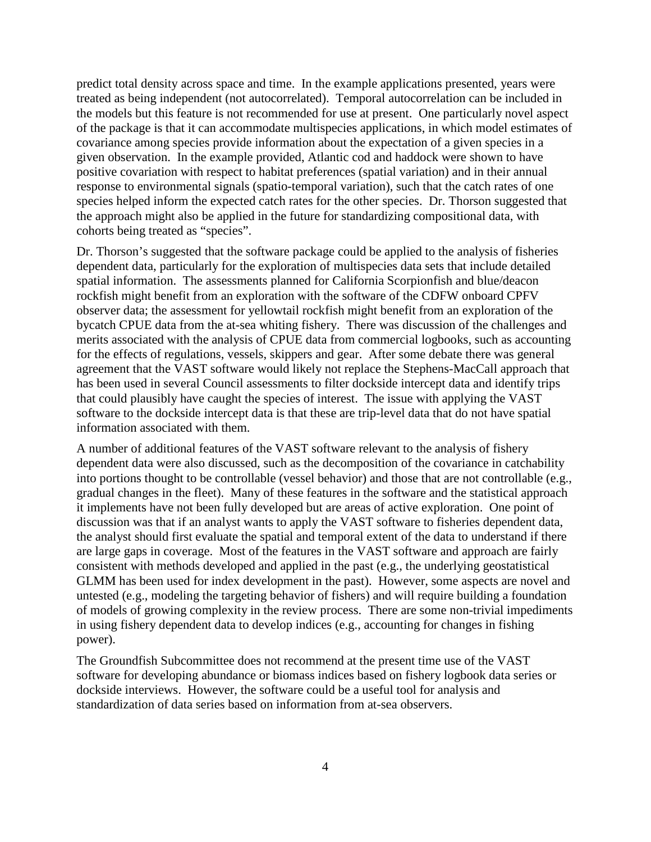predict total density across space and time. In the example applications presented, years were treated as being independent (not autocorrelated). Temporal autocorrelation can be included in the models but this feature is not recommended for use at present. One particularly novel aspect of the package is that it can accommodate multispecies applications, in which model estimates of covariance among species provide information about the expectation of a given species in a given observation. In the example provided, Atlantic cod and haddock were shown to have positive covariation with respect to habitat preferences (spatial variation) and in their annual response to environmental signals (spatio-temporal variation), such that the catch rates of one species helped inform the expected catch rates for the other species. Dr. Thorson suggested that the approach might also be applied in the future for standardizing compositional data, with cohorts being treated as "species".

Dr. Thorson's suggested that the software package could be applied to the analysis of fisheries dependent data, particularly for the exploration of multispecies data sets that include detailed spatial information. The assessments planned for California Scorpionfish and blue/deacon rockfish might benefit from an exploration with the software of the CDFW onboard CPFV observer data; the assessment for yellowtail rockfish might benefit from an exploration of the bycatch CPUE data from the at-sea whiting fishery. There was discussion of the challenges and merits associated with the analysis of CPUE data from commercial logbooks, such as accounting for the effects of regulations, vessels, skippers and gear. After some debate there was general agreement that the VAST software would likely not replace the Stephens-MacCall approach that has been used in several Council assessments to filter dockside intercept data and identify trips that could plausibly have caught the species of interest. The issue with applying the VAST software to the dockside intercept data is that these are trip-level data that do not have spatial information associated with them.

A number of additional features of the VAST software relevant to the analysis of fishery dependent data were also discussed, such as the decomposition of the covariance in catchability into portions thought to be controllable (vessel behavior) and those that are not controllable (e.g., gradual changes in the fleet). Many of these features in the software and the statistical approach it implements have not been fully developed but are areas of active exploration. One point of discussion was that if an analyst wants to apply the VAST software to fisheries dependent data, the analyst should first evaluate the spatial and temporal extent of the data to understand if there are large gaps in coverage. Most of the features in the VAST software and approach are fairly consistent with methods developed and applied in the past (e.g., the underlying geostatistical GLMM has been used for index development in the past). However, some aspects are novel and untested (e.g., modeling the targeting behavior of fishers) and will require building a foundation of models of growing complexity in the review process. There are some non-trivial impediments in using fishery dependent data to develop indices (e.g., accounting for changes in fishing power).

The Groundfish Subcommittee does not recommend at the present time use of the VAST software for developing abundance or biomass indices based on fishery logbook data series or dockside interviews. However, the software could be a useful tool for analysis and standardization of data series based on information from at-sea observers.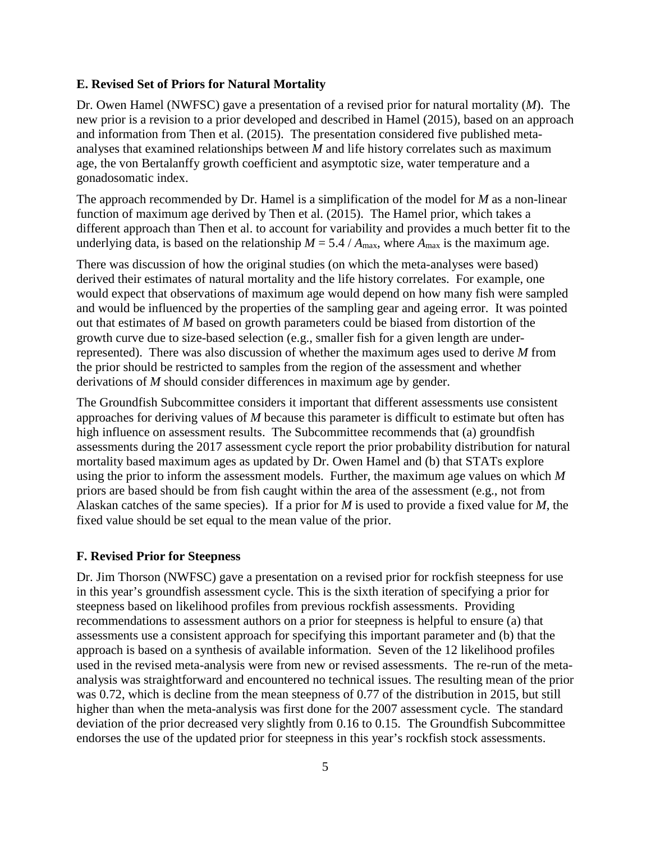#### **E. Revised Set of Priors for Natural Mortality**

Dr. Owen Hamel (NWFSC) gave a presentation of a revised prior for natural mortality (*M*). The new prior is a revision to a prior developed and described in Hamel (2015), based on an approach and information from Then et al. (2015). The presentation considered five published metaanalyses that examined relationships between *M* and life history correlates such as maximum age, the von Bertalanffy growth coefficient and asymptotic size, water temperature and a gonadosomatic index.

The approach recommended by Dr. Hamel is a simplification of the model for *M* as a non-linear function of maximum age derived by Then et al. (2015). The Hamel prior, which takes a different approach than Then et al. to account for variability and provides a much better fit to the underlying data, is based on the relationship  $M = 5.4 / A_{\text{max}}$ , where  $A_{\text{max}}$  is the maximum age.

There was discussion of how the original studies (on which the meta-analyses were based) derived their estimates of natural mortality and the life history correlates. For example, one would expect that observations of maximum age would depend on how many fish were sampled and would be influenced by the properties of the sampling gear and ageing error. It was pointed out that estimates of *M* based on growth parameters could be biased from distortion of the growth curve due to size-based selection (e.g., smaller fish for a given length are underrepresented). There was also discussion of whether the maximum ages used to derive *M* from the prior should be restricted to samples from the region of the assessment and whether derivations of *M* should consider differences in maximum age by gender.

The Groundfish Subcommittee considers it important that different assessments use consistent approaches for deriving values of *M* because this parameter is difficult to estimate but often has high influence on assessment results. The Subcommittee recommends that (a) groundfish assessments during the 2017 assessment cycle report the prior probability distribution for natural mortality based maximum ages as updated by Dr. Owen Hamel and (b) that STATs explore using the prior to inform the assessment models. Further, the maximum age values on which *M* priors are based should be from fish caught within the area of the assessment (e.g., not from Alaskan catches of the same species). If a prior for *M* is used to provide a fixed value for *M*, the fixed value should be set equal to the mean value of the prior.

#### **F. Revised Prior for Steepness**

Dr. Jim Thorson (NWFSC) gave a presentation on a revised prior for rockfish steepness for use in this year's groundfish assessment cycle. This is the sixth iteration of specifying a prior for steepness based on likelihood profiles from previous rockfish assessments. Providing recommendations to assessment authors on a prior for steepness is helpful to ensure (a) that assessments use a consistent approach for specifying this important parameter and (b) that the approach is based on a synthesis of available information. Seven of the 12 likelihood profiles used in the revised meta-analysis were from new or revised assessments. The re-run of the metaanalysis was straightforward and encountered no technical issues. The resulting mean of the prior was 0.72, which is decline from the mean steepness of 0.77 of the distribution in 2015, but still higher than when the meta-analysis was first done for the 2007 assessment cycle. The standard deviation of the prior decreased very slightly from 0.16 to 0.15. The Groundfish Subcommittee endorses the use of the updated prior for steepness in this year's rockfish stock assessments.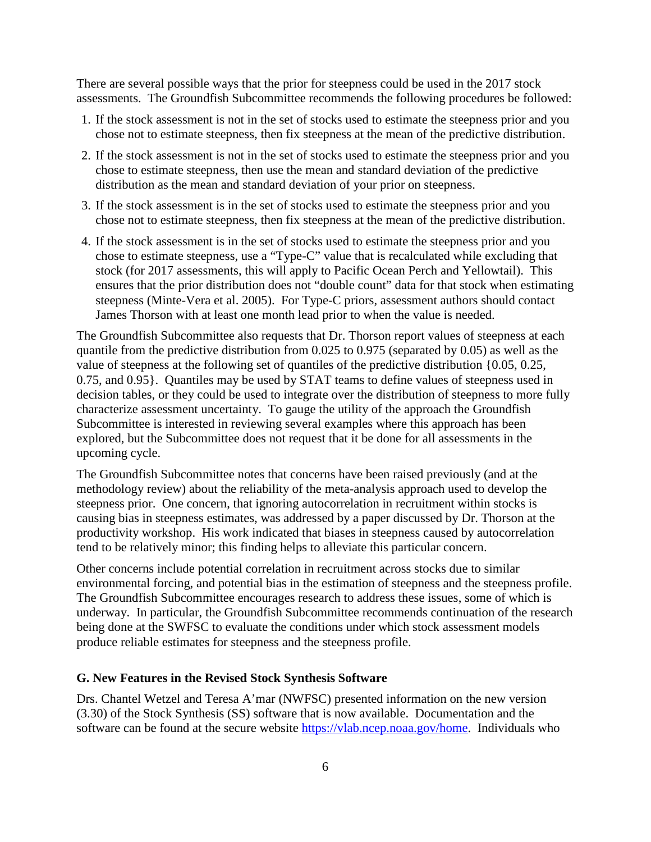There are several possible ways that the prior for steepness could be used in the 2017 stock assessments. The Groundfish Subcommittee recommends the following procedures be followed:

- 1. If the stock assessment is not in the set of stocks used to estimate the steepness prior and you chose not to estimate steepness, then fix steepness at the mean of the predictive distribution.
- 2. If the stock assessment is not in the set of stocks used to estimate the steepness prior and you chose to estimate steepness, then use the mean and standard deviation of the predictive distribution as the mean and standard deviation of your prior on steepness.
- 3. If the stock assessment is in the set of stocks used to estimate the steepness prior and you chose not to estimate steepness, then fix steepness at the mean of the predictive distribution.
- 4. If the stock assessment is in the set of stocks used to estimate the steepness prior and you chose to estimate steepness, use a "Type-C" value that is recalculated while excluding that stock (for 2017 assessments, this will apply to Pacific Ocean Perch and Yellowtail). This ensures that the prior distribution does not "double count" data for that stock when estimating steepness (Minte-Vera et al. 2005). For Type-C priors, assessment authors should contact James Thorson with at least one month lead prior to when the value is needed.

The Groundfish Subcommittee also requests that Dr. Thorson report values of steepness at each quantile from the predictive distribution from 0.025 to 0.975 (separated by 0.05) as well as the value of steepness at the following set of quantiles of the predictive distribution {0.05, 0.25, 0.75, and 0.95}. Quantiles may be used by STAT teams to define values of steepness used in decision tables, or they could be used to integrate over the distribution of steepness to more fully characterize assessment uncertainty. To gauge the utility of the approach the Groundfish Subcommittee is interested in reviewing several examples where this approach has been explored, but the Subcommittee does not request that it be done for all assessments in the upcoming cycle.

The Groundfish Subcommittee notes that concerns have been raised previously (and at the methodology review) about the reliability of the meta-analysis approach used to develop the steepness prior. One concern, that ignoring autocorrelation in recruitment within stocks is causing bias in steepness estimates, was addressed by a paper discussed by Dr. Thorson at the productivity workshop. His work indicated that biases in steepness caused by autocorrelation tend to be relatively minor; this finding helps to alleviate this particular concern.

Other concerns include potential correlation in recruitment across stocks due to similar environmental forcing, and potential bias in the estimation of steepness and the steepness profile. The Groundfish Subcommittee encourages research to address these issues, some of which is underway. In particular, the Groundfish Subcommittee recommends continuation of the research being done at the SWFSC to evaluate the conditions under which stock assessment models produce reliable estimates for steepness and the steepness profile.

#### **G. New Features in the Revised Stock Synthesis Software**

Drs. Chantel Wetzel and Teresa A'mar (NWFSC) presented information on the new version (3.30) of the Stock Synthesis (SS) software that is now available. Documentation and the software can be found at the secure website [https://vlab.ncep.noaa.gov/home.](https://vlab.ncep.noaa.gov/home) Individuals who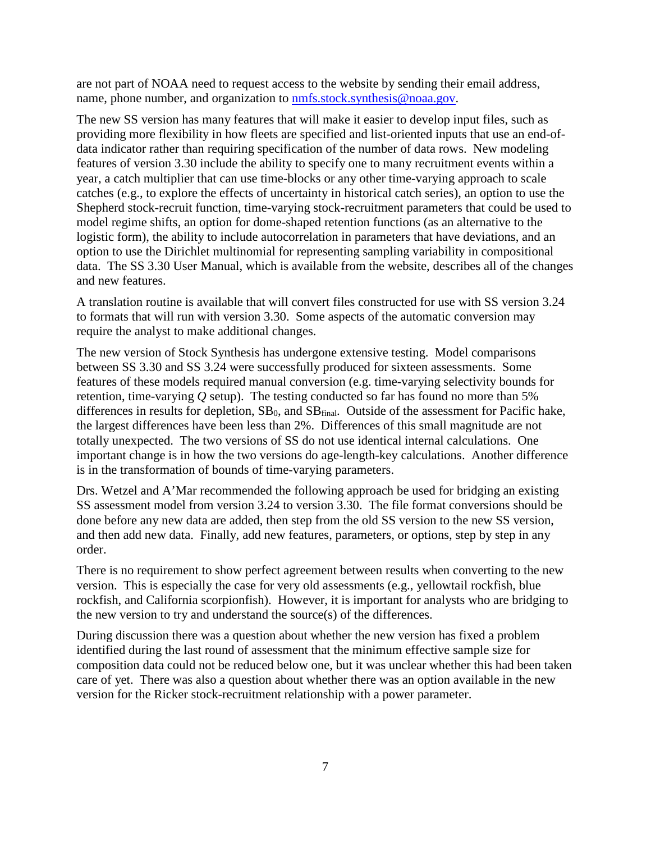are not part of NOAA need to request access to the website by sending their email address, name, phone number, and organization to **nmfs.stock.synthesis@noaa.gov.** 

The new SS version has many features that will make it easier to develop input files, such as providing more flexibility in how fleets are specified and list-oriented inputs that use an end-ofdata indicator rather than requiring specification of the number of data rows. New modeling features of version 3.30 include the ability to specify one to many recruitment events within a year, a catch multiplier that can use time-blocks or any other time-varying approach to scale catches (e.g., to explore the effects of uncertainty in historical catch series), an option to use the Shepherd stock-recruit function, time-varying stock-recruitment parameters that could be used to model regime shifts, an option for dome-shaped retention functions (as an alternative to the logistic form), the ability to include autocorrelation in parameters that have deviations, and an option to use the Dirichlet multinomial for representing sampling variability in compositional data. The SS 3.30 User Manual, which is available from the website, describes all of the changes and new features.

A translation routine is available that will convert files constructed for use with SS version 3.24 to formats that will run with version 3.30. Some aspects of the automatic conversion may require the analyst to make additional changes.

The new version of Stock Synthesis has undergone extensive testing. Model comparisons between SS 3.30 and SS 3.24 were successfully produced for sixteen assessments. Some features of these models required manual conversion (e.g. time-varying selectivity bounds for retention, time-varying *Q* setup). The testing conducted so far has found no more than 5% differences in results for depletion,  $SB_0$ , and  $SB<sub>final</sub>$ . Outside of the assessment for Pacific hake, the largest differences have been less than 2%. Differences of this small magnitude are not totally unexpected. The two versions of SS do not use identical internal calculations. One important change is in how the two versions do age-length-key calculations. Another difference is in the transformation of bounds of time-varying parameters.

Drs. Wetzel and A'Mar recommended the following approach be used for bridging an existing SS assessment model from version 3.24 to version 3.30. The file format conversions should be done before any new data are added, then step from the old SS version to the new SS version, and then add new data. Finally, add new features, parameters, or options, step by step in any order.

There is no requirement to show perfect agreement between results when converting to the new version. This is especially the case for very old assessments (e.g., yellowtail rockfish, blue rockfish, and California scorpionfish). However, it is important for analysts who are bridging to the new version to try and understand the source(s) of the differences.

During discussion there was a question about whether the new version has fixed a problem identified during the last round of assessment that the minimum effective sample size for composition data could not be reduced below one, but it was unclear whether this had been taken care of yet. There was also a question about whether there was an option available in the new version for the Ricker stock-recruitment relationship with a power parameter.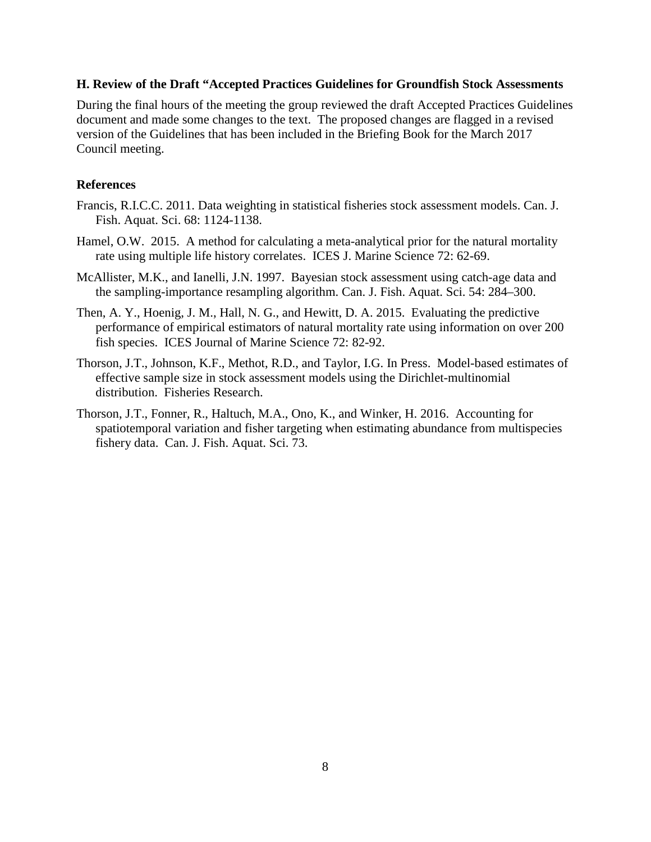### **H. Review of the Draft "Accepted Practices Guidelines for Groundfish Stock Assessments**

During the final hours of the meeting the group reviewed the draft Accepted Practices Guidelines document and made some changes to the text. The proposed changes are flagged in a revised version of the Guidelines that has been included in the Briefing Book for the March 2017 Council meeting.

## **References**

- Francis, R.I.C.C. 2011. Data weighting in statistical fisheries stock assessment models. Can. J. Fish. Aquat. Sci. 68: 1124-1138.
- Hamel, O.W. 2015. A method for calculating a meta-analytical prior for the natural mortality rate using multiple life history correlates. ICES J. Marine Science 72: 62-69.
- McAllister, M.K., and Ianelli, J.N. 1997. Bayesian stock assessment using catch-age data and the sampling-importance resampling algorithm. Can. J. Fish. Aquat. Sci. 54: 284–300.
- Then, A. Y., Hoenig, J. M., Hall, N. G., and Hewitt, D. A. 2015. Evaluating the predictive performance of empirical estimators of natural mortality rate using information on over 200 fish species. ICES Journal of Marine Science 72: 82-92.
- Thorson, J.T., Johnson, K.F., Methot, R.D., and Taylor, I.G. In Press. Model-based estimates of effective sample size in stock assessment models using the Dirichlet-multinomial distribution. Fisheries Research.
- Thorson, J.T., Fonner, R., Haltuch, M.A., Ono, K., and Winker, H. 2016. Accounting for spatiotemporal variation and fisher targeting when estimating abundance from multispecies fishery data. Can. J. Fish. Aquat. Sci. 73.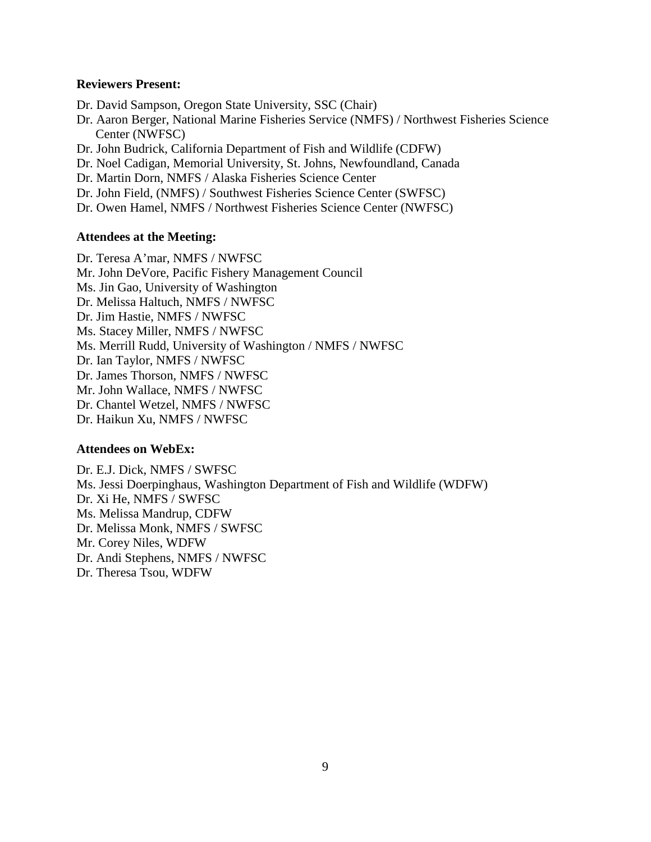#### **Reviewers Present:**

Dr. David Sampson, Oregon State University, SSC (Chair)

Dr. Aaron Berger, National Marine Fisheries Service (NMFS) / Northwest Fisheries Science Center (NWFSC)

Dr. John Budrick, California Department of Fish and Wildlife (CDFW)

Dr. Noel Cadigan, Memorial University, St. Johns, Newfoundland, Canada

Dr. Martin Dorn, NMFS / Alaska Fisheries Science Center

Dr. John Field, (NMFS) / Southwest Fisheries Science Center (SWFSC)

Dr. Owen Hamel, NMFS / Northwest Fisheries Science Center (NWFSC)

#### **Attendees at the Meeting:**

Dr. Teresa A'mar, NMFS / NWFSC Mr. John DeVore, Pacific Fishery Management Council Ms. Jin Gao, University of Washington Dr. Melissa Haltuch, NMFS / NWFSC Dr. Jim Hastie, NMFS / NWFSC Ms. Stacey Miller, NMFS / NWFSC Ms. Merrill Rudd, University of Washington / NMFS / NWFSC Dr. Ian Taylor, NMFS / NWFSC Dr. James Thorson, NMFS / NWFSC Mr. John Wallace, NMFS / NWFSC Dr. Chantel Wetzel, NMFS / NWFSC Dr. Haikun Xu, NMFS / NWFSC

#### **Attendees on WebEx:**

Dr. E.J. Dick, NMFS / SWFSC Ms. Jessi Doerpinghaus, Washington Department of Fish and Wildlife (WDFW) Dr. Xi He, NMFS / SWFSC Ms. Melissa Mandrup, CDFW Dr. Melissa Monk, NMFS / SWFSC Mr. Corey Niles, WDFW Dr. Andi Stephens, NMFS / NWFSC Dr. Theresa Tsou, WDFW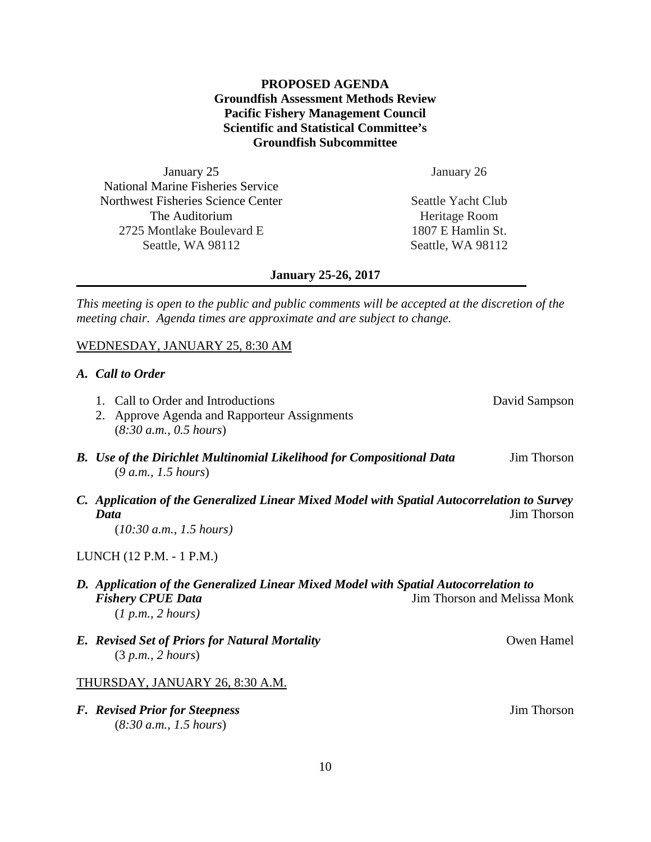# **PROPOSED AGENDA Groundfish Assessment Methods Review Pacific Fishery Management Council Scientific and Statistical Committee's Groundfish Subcommittee**

January 25 National Marine Fisheries Service Northwest Fisheries Science Center The Auditorium 2725 Montlake Boulevard E Seattle, WA 98112

January 26

Seattle Yacht Club Heritage Room 1807 E Hamlin St. Seattle, WA 98112

#### **January 25-26, 2017**

*This meeting is open to the public and public comments will be accepted at the discretion of the meeting chair. Agenda times are approximate and are subject to change.*

### WEDNESDAY, JANUARY 25, 8:30 AM

#### *A. Call to Order*

| 2. Approve Agenda and Rapporteur Assignments<br>(8:30 a.m., 0.5 hours)                              |             |
|-----------------------------------------------------------------------------------------------------|-------------|
| <b>B.</b> Use of the Dirichlet Multinomial Likelihood for Compositional Data<br>(9 a.m., 1.5 hours) | Jim Thorson |

*C. Application of the Generalized Linear Mixed Model with Spatial Autocorrelation to Survey*  **Data** Jim Thorson

(*10:30 a.m., 1.5 hours)*

#### LUNCH (12 P.M. - 1 P.M.)

# *D. Application of the Generalized Linear Mixed Model with Spatial Autocorrelation to*  **Fishery CPUE Data Jim Thorson and Melissa Monk** (*1 p.m., 2 hours)*

*E. Revised Set of Priors for Natural Mortality* **COMPLEX** *Owen Hamel* (3 *p.m., 2 hours*)

#### THURSDAY, JANUARY 26, 8:30 A.M.

*F. Revised Prior for Steepness* Jim Thorson (*8:30 a.m., 1.5 hours*)